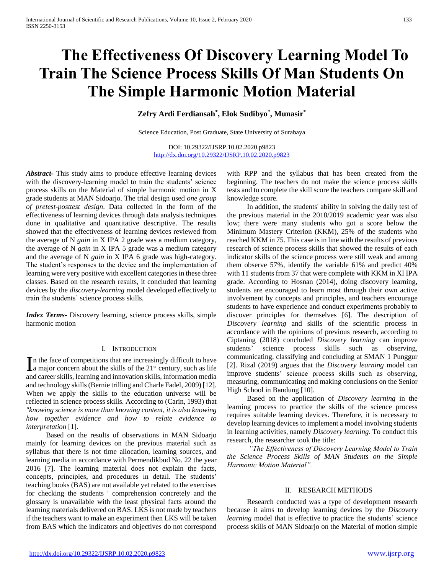# **The Effectiveness Of Discovery Learning Model To Train The Science Process Skills Of Man Students On The Simple Harmonic Motion Material**

# **Zefry Ardi Ferdiansah\* , Elok Sudibyo\* , Munasir\***

Science Education, Post Graduate, State University of Surabaya

DOI: 10.29322/IJSRP.10.02.2020.p9823 <http://dx.doi.org/10.29322/IJSRP.10.02.2020.p9823>

*Abstract***-** This study aims to produce effective learning devices with the discovery-learning model to train the students' science process skills on the Material of simple harmonic motion in X grade students at MAN Sidoarjo. The trial design used *one group of pretest-posttest design*. Data collected in the form of the effectiveness of learning devices through data analysis techniques done in qualitative and quantitative descriptive. The results showed that the effectiveness of learning devices reviewed from the average of N *gain* in X IPA 2 grade was a medium category, the average of N *gain* in X IPA 5 grade was a medium category and the average of N *gain* in X IPA 6 grade was high-category. The student's responses to the device and the implementation of learning were very positive with excellent categories in these three classes. Based on the research results, it concluded that learning devices by the *discovery-learning* model developed effectively to train the students' science process skills.

*Index Terms*- Discovery learning, science process skills, simple harmonic motion

## I. INTRODUCTION

n the face of competitions that are increasingly difficult to have In the face of competitions that are increasingly difficult to have a major concern about the skills of the  $21<sup>st</sup>$  century, such as life and career skills, learning and innovation skills, information media and technology skills (Bernie trilling and Charle Fadel, 2009) [12]. When we apply the skills to the education universe will be reflected in science process skills. According to (Carin, 1993) that *"knowing science is more than knowing content, it is also knowing how together evidence and how to relate evidence to interpretation* [1].

 Based on the results of observations in MAN Sidoarjo mainly for learning devices on the previous material such as syllabus that there is not time allocation, learning sources, and learning media in accordance with Permendikbud No. 22 the year 2016 [7]. The learning material does not explain the facts, concepts, principles, and procedures in detail. The students' teaching books (BAS) are not available yet related to the exercises for checking the students ' comprehension concretely and the glossary is unavailable with the least physical facts around the learning materials delivered on BAS. LKS is not made by teachers if the teachers want to make an experiment then LKS will be taken from BAS which the indicators and objectives do not correspond

with RPP and the syllabus that has been created from the beginning. The teachers do not make the science process skills tests and to complete the skill score the teachers compare skill and knowledge score.

 In addition, the students' ability in solving the daily test of the previous material in the 2018/2019 academic year was also low; there were many students who got a score below the Minimum Mastery Criterion (KKM), 25% of the students who reached KKM in 75. This case is in line with the results of previous research of science process skills that showed the results of each indicator skills of the science process were still weak and among them observe 57%, identify the variable 61% and predict 40% with 11 students from 37 that were complete with KKM in XI IPA grade. According to Hosnan (2014), doing discovery learning, students are encouraged to learn most through their own active involvement by concepts and principles, and teachers encourage students to have experience and conduct experiments probably to discover principles for themselves [6]. The description of *Discovery learning* and skills of the scientific process in accordance with the opinions of previous research, according to Ciptaning (2018) concluded *Discovery learning* can improve students' science process skills such as observing, communicating, classifying and concluding at SMAN 1 Punggur [2]. Rizal (2019) argues that the *Discovery learning* model can improve students' science process skills such as observing, measuring, communicating and making conclusions on the Senior High School in Bandung [10].

 Based on the application of *Discovery learning* in the learning process to practice the skills of the science process requires suitable learning devices. Therefore, it is necessary to develop learning devices to implement a model involving students in learning activities, namely *Discovery learning*. To conduct this research, the researcher took the title:

 *"The Effectiveness of Discovery Learning Model to Train the Science Process Skills of MAN Students on the Simple Harmonic Motion Material".*

## II. RESEARCH METHODS

 Research conducted was a type of development research because it aims to develop learning devices by the *Discovery learning* model that is effective to practice the students' science process skills of MAN Sidoarjo on the Material of motion simple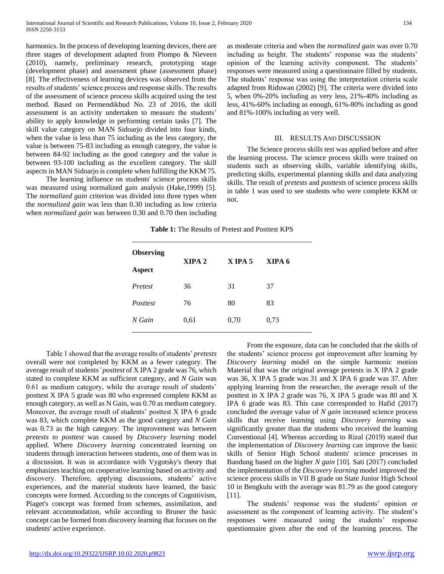harmonics. In the process of developing learning devices, there are three stages of development adapted from Plompo & Nieveen (2010), namely, preliminary research, prototyping stage (development phase) and assessment phase (assessment phase) [8]. The effectiveness of learning devices was observed from the results of students' science process and response skills. The results of the assessment of science process skills acquired using the test method. Based on Permendikbud No. 23 of 2016, the skill assessment is an activity undertaken to measure the students' ability to apply knowledge in performing certain tasks [7]. The skill value category on MAN Sidoarjo divided into four kinds, when the value is less than 75 including as the less category, the value is between 75-83 including as enough category, the value is between 84-92 including as the good category and the value is between 93-100 including as the excellent category. The skill aspects in MAN Sidoarjo is complete when fulfilling the KKM 75.

 The learning influence on students' science process skills was measured using normalized gain analysis (Hake,1999) [5]. The *normalized gain* criterion was divided into three types when the *normalized gain* was less than 0.30 including as low criteria when *normalized gain* was between 0.30 and 0.70 then including as moderate criteria and when the *normalized gain* was over 0.70 including as height. The students' response was the students' opinion of the learning activity component. The students' responses were measured using a questionnaire filled by students. The students' response was using the interpretation criteria scale adapted from Riduwan (2002) [9]. The criteria were divided into 5, when 0%-20% including as very less, 21%-40% including as less, 41%-60% including as enough, 61%-80% including as good and 81%-100% including as very well.

#### III. RESULTS AND DISCUSSION

 The Science process skills test was applied before and after the learning process. The science process skills were trained on students such as observing skills, variable identifying skills, predicting skills, experimental planning skills and data analyzing skills. The result of *pretests* and *posttests* of science process skills in table 1 was used to see students who were complete KKM or not.

**Table 1:** The Results of Pretest and Posttest KPS

| <b>Observing</b> | XIPA <sub>2</sub> | $X$ IPA 5 | XIPA 6 |  |
|------------------|-------------------|-----------|--------|--|
| <b>Aspect</b>    |                   |           |        |  |
| Pretest          | 36                | 31        | 37     |  |
| Posttest         | 76                | 80        | 83     |  |
| N Gain           | 0,61              | 0,70      | 0,73   |  |
|                  |                   |           |        |  |

 Table 1 showed that the average results of students' *pretests* overall were not completed by KKM as a fewer category. The average result of students*' posttest* of X IPA 2 grade was 76, which stated to complete KKM as sufficient category, and *N Gain* was 0.61 as medium category, while the average result of students' posttest X IPA 5 grade was 80 who expressed complete KKM as enough category, as well as N Gain, was 0.70 as medium category. Moreover, the average result of students' posttest X IPA 6 grade was 83, which complete KKM as the good category and *N Gain* was 0.73 as the high category. The improvement was between *pretests to posttest* was caused by *Discovery learning* model applied. Where *Discovery learning* concentrated learning on students through interaction between students, one of them was in a discussion. It was in accordance with Vygotsky's theory that emphasizes teaching on cooperative learning based on activity and discovery. Therefore, applying discussions, students' active experiences, and the material students have learned, the basic concepts were formed. According to the concepts of Cognitivism, Piaget's concept was formed from schemes, assimilation, and relevant accommodation, while according to Bruner the basic concept can be formed from discovery learning that focuses on the students' active experience.

 From the exposure, data can be concluded that the skills of the students' science process got improvement after learning by *Discovery learning* model on the simple harmonic motion Material that was the original average pretests in X IPA 2 grade was 36, X IPA 5 grade was 31 and X IPA 6 grade was 37. After applying learning from the researcher, the average result of the posttest in X IPA 2 grade was 76, X IPA 5 grade was 80 and X IPA 6 grade was 83. This case corresponded to Hafid (2017) concluded the average value of *N gain* increased science process skills that receive learning using *Discovery learning* was significantly greater than the students who received the learning Conventional [4]. Whereas according to Rizal (2019) stated that the implementation of *Discovery learning* can improve the basic skills of Senior High School students' science processes in Bandung based on the higher *N gain* [10]. Sati (2017) concluded the implementation of the *Discovery learning* model improved the science process skills in VII B grade on State Junior High School 10 in Bengkulu with the average was 81.79 as the good category [11].

 The students' response was the students' opinion or assessment as the component of learning activity. The student's responses were measured using the students' response questionnaire given after the end of the learning process. The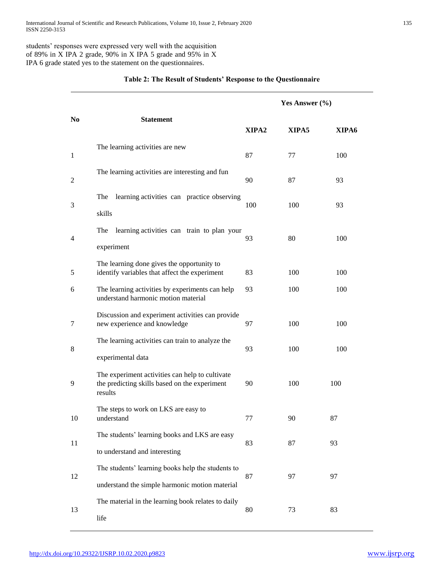students' responses were expressed very well with the acquisition of 89% in X IPA 2 grade, 90% in X IPA 5 grade and 95% in X IPA 6 grade stated yes to the statement on the questionnaires.

## **Table 2: The Result of Students' Response to the Questionnaire**

|                |                                                                                                             | Yes Answer (%) |       |       |
|----------------|-------------------------------------------------------------------------------------------------------------|----------------|-------|-------|
| N <sub>0</sub> | <b>Statement</b>                                                                                            | XIPA2          | XIPA5 | XIPA6 |
| 1              | The learning activities are new                                                                             | 87             | 77    | 100   |
| 2              | The learning activities are interesting and fun                                                             | 90             | 87    | 93    |
| 3              | The<br>learning activities can practice observing<br>skills                                                 | 100            | 100   | 93    |
| 4              | learning activities can train to plan your<br>The<br>experiment                                             | 93             | 80    | 100   |
| 5              | The learning done gives the opportunity to<br>identify variables that affect the experiment                 | 83             | 100   | 100   |
| 6              | The learning activities by experiments can help<br>understand harmonic motion material                      | 93             | 100   | 100   |
| 7              | Discussion and experiment activities can provide<br>new experience and knowledge                            | 97             | 100   | 100   |
| 8              | The learning activities can train to analyze the<br>experimental data                                       | 93             | 100   | 100   |
| 9              | The experiment activities can help to cultivate<br>the predicting skills based on the experiment<br>results | 90             | 100   | 100   |
| 10             | The steps to work on LKS are easy to<br>understand                                                          | 77             | 90    | 87    |
| 11             | The students' learning books and LKS are easy                                                               | 83             | 87    | 93    |
|                | to understand and interesting                                                                               |                |       |       |
| 12             | The students' learning books help the students to<br>understand the simple harmonic motion material         | 87             | 97    | 97    |
| 13             | The material in the learning book relates to daily<br>life                                                  | 80             | 73    | 83    |